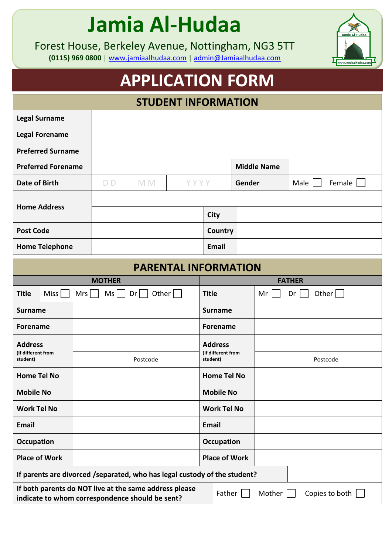## **Jamia Al-Hudaa**

Forest House, Berkeley Avenue, Nottingham, NG3 5TT **(0115) 969 0800** | [www.jamiaalhudaa.com](http://www.jamiaalhudaa.com/) | [admin@Jamiaalhudaa.com](mailto:admin@Jamiaalhudaa.com)

## **APPLICATION FORM**

|                                                                                                           |  |  |                |     | <b>STUDENT INFORMATION</b> |                                |        |                    |                |        |  |
|-----------------------------------------------------------------------------------------------------------|--|--|----------------|-----|----------------------------|--------------------------------|--------|--------------------|----------------|--------|--|
| <b>Legal Surname</b>                                                                                      |  |  |                |     |                            |                                |        |                    |                |        |  |
| <b>Legal Forename</b>                                                                                     |  |  |                |     |                            |                                |        |                    |                |        |  |
| <b>Preferred Surname</b>                                                                                  |  |  |                |     |                            |                                |        |                    |                |        |  |
| <b>Preferred Forename</b>                                                                                 |  |  |                |     |                            |                                |        | <b>Middle Name</b> |                |        |  |
| <b>Date of Birth</b>                                                                                      |  |  | D <sub>D</sub> | M M | YYYY                       |                                | Gender |                    | Male           | Female |  |
| <b>Home Address</b>                                                                                       |  |  |                |     |                            |                                |        |                    |                |        |  |
|                                                                                                           |  |  |                |     |                            | <b>City</b>                    |        |                    |                |        |  |
| <b>Post Code</b>                                                                                          |  |  |                |     |                            | Country                        |        |                    |                |        |  |
| <b>Home Telephone</b>                                                                                     |  |  |                |     |                            | <b>Email</b>                   |        |                    |                |        |  |
| <b>PARENTAL INFORMATION</b>                                                                               |  |  |                |     |                            |                                |        |                    |                |        |  |
|                                                                                                           |  |  | <b>MOTHER</b>  |     |                            | <b>FATHER</b>                  |        |                    |                |        |  |
| Other<br><b>Title</b><br>Miss<br>Ms<br>Mrs<br>Dr <sub>1</sub>                                             |  |  | <b>Title</b>   |     | Dr<br>Other<br>Mr          |                                |        |                    |                |        |  |
| <b>Surname</b>                                                                                            |  |  |                |     |                            | <b>Surname</b>                 |        |                    |                |        |  |
| <b>Forename</b>                                                                                           |  |  |                |     |                            | <b>Forename</b>                |        |                    |                |        |  |
| <b>Address</b>                                                                                            |  |  |                |     |                            | <b>Address</b>                 |        |                    |                |        |  |
| (If different from<br>student)                                                                            |  |  | Postcode       |     |                            | (If different from<br>student) |        | Postcode           |                |        |  |
| <b>Home Tel No</b>                                                                                        |  |  |                |     |                            | <b>Home Tel No</b>             |        |                    |                |        |  |
| <b>Mobile No</b>                                                                                          |  |  |                |     |                            | <b>Mobile No</b>               |        |                    |                |        |  |
| <b>Work Tel No</b>                                                                                        |  |  |                |     |                            | <b>Work Tel No</b>             |        |                    |                |        |  |
| Email                                                                                                     |  |  |                |     |                            | Email                          |        |                    |                |        |  |
| <b>Occupation</b>                                                                                         |  |  |                |     |                            | Occupation                     |        |                    |                |        |  |
| <b>Place of Work</b>                                                                                      |  |  |                |     |                            | <b>Place of Work</b>           |        |                    |                |        |  |
| If parents are divorced /separated, who has legal custody of the student?                                 |  |  |                |     |                            |                                |        |                    |                |        |  |
| If both parents do NOT live at the same address please<br>indicate to whom correspondence should be sent? |  |  |                |     | Father                     |                                | Mother |                    | Copies to both |        |  |

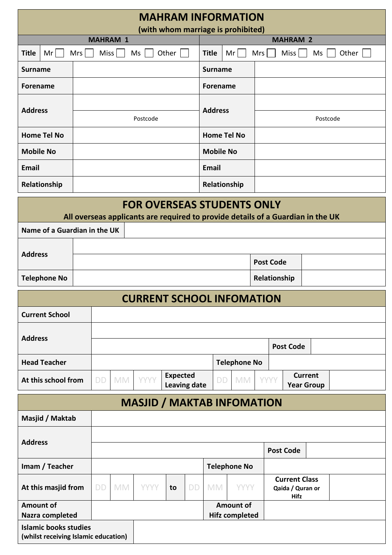| <b>MAHRAM INFORMATION</b><br>(with whom marriage is prohibited) |          |           |                 |             |                                                        |                     |                          |                                                                                 |  |              |                                                         |                                     |  |  |
|-----------------------------------------------------------------|----------|-----------|-----------------|-------------|--------------------------------------------------------|---------------------|--------------------------|---------------------------------------------------------------------------------|--|--------------|---------------------------------------------------------|-------------------------------------|--|--|
|                                                                 |          |           | <b>MAHRAM 1</b> |             |                                                        |                     | <b>MAHRAM 2</b>          |                                                                                 |  |              |                                                         |                                     |  |  |
| Miss<br>Other $ $<br><b>Title</b><br>Mr<br>Mrs<br>Ms            |          |           |                 |             | Mr<br>Other $ $<br><b>Title</b><br>Mrs<br>Miss  <br>Ms |                     |                          |                                                                                 |  |              |                                                         |                                     |  |  |
| <b>Surname</b>                                                  |          |           |                 |             |                                                        |                     | <b>Surname</b>           |                                                                                 |  |              |                                                         |                                     |  |  |
| <b>Forename</b>                                                 |          |           |                 |             |                                                        |                     | <b>Forename</b>          |                                                                                 |  |              |                                                         |                                     |  |  |
| <b>Address</b>                                                  |          |           |                 |             |                                                        |                     | <b>Address</b>           |                                                                                 |  |              |                                                         |                                     |  |  |
|                                                                 | Postcode |           |                 |             |                                                        |                     |                          |                                                                                 |  | Postcode     |                                                         |                                     |  |  |
| <b>Home Tel No</b>                                              |          |           |                 |             |                                                        |                     |                          | <b>Home Tel No</b>                                                              |  |              |                                                         |                                     |  |  |
| <b>Mobile No</b>                                                |          |           |                 |             |                                                        |                     | <b>Mobile No</b>         |                                                                                 |  |              |                                                         |                                     |  |  |
| Email                                                           |          |           |                 |             |                                                        |                     | Email                    |                                                                                 |  |              |                                                         |                                     |  |  |
| Relationship                                                    |          |           |                 |             |                                                        |                     |                          | Relationship                                                                    |  |              |                                                         |                                     |  |  |
|                                                                 |          |           |                 |             |                                                        |                     |                          | <b>FOR OVERSEAS STUDENTS ONLY</b>                                               |  |              |                                                         |                                     |  |  |
|                                                                 |          |           |                 |             |                                                        |                     |                          | All overseas applicants are required to provide details of a Guardian in the UK |  |              |                                                         |                                     |  |  |
| Name of a Guardian in the UK                                    |          |           |                 |             |                                                        |                     |                          |                                                                                 |  |              |                                                         |                                     |  |  |
| <b>Address</b>                                                  |          |           |                 |             |                                                        |                     |                          |                                                                                 |  |              |                                                         |                                     |  |  |
|                                                                 |          |           |                 |             |                                                        |                     | <b>Post Code</b>         |                                                                                 |  |              |                                                         |                                     |  |  |
| <b>Telephone No</b>                                             |          |           |                 |             |                                                        |                     |                          |                                                                                 |  | Relationship |                                                         |                                     |  |  |
|                                                                 |          |           |                 |             |                                                        |                     |                          | <b>CURRENT SCHOOL INFOMATION</b>                                                |  |              |                                                         |                                     |  |  |
| <b>Current School</b>                                           |          |           |                 |             |                                                        |                     |                          |                                                                                 |  |              |                                                         |                                     |  |  |
| <b>Address</b>                                                  |          |           |                 |             |                                                        |                     |                          |                                                                                 |  |              |                                                         |                                     |  |  |
|                                                                 |          |           |                 |             |                                                        |                     | <b>Post Code</b>         |                                                                                 |  |              |                                                         |                                     |  |  |
| <b>Head Teacher</b>                                             |          |           |                 |             |                                                        |                     |                          | <b>Telephone No</b>                                                             |  |              |                                                         |                                     |  |  |
| At this school from                                             |          | <b>DD</b> | <b>MM</b>       | <b>YYYY</b> | <b>Expected</b>                                        | <b>Leaving date</b> |                          | <b>MM</b><br>DD.                                                                |  | YYYY         |                                                         | <b>Current</b><br><b>Year Group</b> |  |  |
|                                                                 |          |           |                 |             |                                                        |                     |                          | <b>MASJID / MAKTAB INFOMATION</b>                                               |  |              |                                                         |                                     |  |  |
| Masjid / Maktab                                                 |          |           |                 |             |                                                        |                     |                          |                                                                                 |  |              |                                                         |                                     |  |  |
|                                                                 |          |           |                 |             |                                                        |                     |                          |                                                                                 |  |              |                                                         |                                     |  |  |
| <b>Address</b>                                                  |          |           |                 |             |                                                        |                     |                          |                                                                                 |  |              | <b>Post Code</b>                                        |                                     |  |  |
| Imam / Teacher                                                  |          |           |                 |             |                                                        |                     |                          | <b>Telephone No</b>                                                             |  |              |                                                         |                                     |  |  |
| At this masjid from                                             |          | <b>DD</b> | <b>MM</b>       | <b>YYYY</b> | to                                                     | <b>DD</b>           | <b>MM</b><br><b>YYYY</b> |                                                                                 |  |              | <b>Current Class</b><br>Qaida / Quran or<br><b>Hifz</b> |                                     |  |  |
| <b>Amount of</b><br>Nazra completed                             |          |           |                 |             |                                                        |                     |                          | <b>Amount of</b><br><b>Hifz completed</b>                                       |  |              |                                                         |                                     |  |  |
| <b>Islamic books studies</b>                                    |          |           |                 |             |                                                        |                     |                          |                                                                                 |  |              |                                                         |                                     |  |  |
| (whilst receiving Islamic education)                            |          |           |                 |             |                                                        |                     |                          |                                                                                 |  |              |                                                         |                                     |  |  |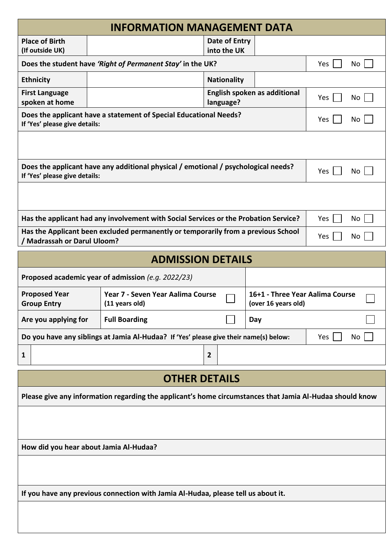|                                            | <b>INFORMATION MANAGEMENT DATA</b>                                                                       |                              |                                                        |                        |
|--------------------------------------------|----------------------------------------------------------------------------------------------------------|------------------------------|--------------------------------------------------------|------------------------|
| <b>Place of Birth</b><br>(If outside UK)   |                                                                                                          | Date of Entry<br>into the UK |                                                        |                        |
|                                            | Does the student have 'Right of Permanent Stay' in the UK?                                               |                              |                                                        | No<br>Yes              |
| <b>Ethnicity</b>                           |                                                                                                          | <b>Nationality</b>           |                                                        |                        |
| <b>First Language</b><br>spoken at home    |                                                                                                          | language?                    | English spoken as additional                           | No <sub>1</sub><br>Yes |
| If 'Yes' please give details:              | Does the applicant have a statement of Special Educational Needs?                                        |                              |                                                        | Yes<br>No              |
|                                            |                                                                                                          |                              |                                                        |                        |
| If 'Yes' please give details:              | Does the applicant have any additional physical / emotional / psychological needs?                       |                              |                                                        | Yes<br>No              |
|                                            |                                                                                                          |                              |                                                        |                        |
|                                            | Has the applicant had any involvement with Social Services or the Probation Service?                     |                              |                                                        | No<br><b>Yes</b>       |
| <b>Madrassah or Darul Uloom?</b>           | Has the Applicant been excluded permanently or temporarily from a previous School                        |                              |                                                        | No<br>Yes              |
|                                            | <b>ADMISSION DETAILS</b>                                                                                 |                              |                                                        |                        |
|                                            | Proposed academic year of admission $(e.g. 2022/23)$                                                     |                              |                                                        |                        |
| <b>Proposed Year</b><br><b>Group Entry</b> | Year 7 - Seven Year Aalima Course<br>(11 years old)                                                      |                              | 16+1 - Three Year Aalima Course<br>(over 16 years old) |                        |
| Are you applying for                       | <b>Full Boarding</b>                                                                                     |                              | Day                                                    |                        |
|                                            | Do you have any siblings at Jamia Al-Hudaa? If 'Yes' please give their name(s) below:                    |                              |                                                        | Yes<br>No              |
| 1                                          |                                                                                                          | $\overline{2}$               |                                                        |                        |
|                                            | <b>OTHER DETAILS</b>                                                                                     |                              |                                                        |                        |
|                                            | Please give any information regarding the applicant's home circumstances that Jamia Al-Hudaa should know |                              |                                                        |                        |
|                                            |                                                                                                          |                              |                                                        |                        |
| How did you hear about Jamia Al-Hudaa?     |                                                                                                          |                              |                                                        |                        |
|                                            |                                                                                                          |                              |                                                        |                        |
|                                            | If you have any previous connection with Jamia Al-Hudaa, please tell us about it.                        |                              |                                                        |                        |